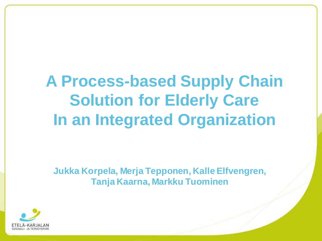# **A Process-based Supply Chain Solution for Elderly Care In an Integrated Organization**

**Jukka Korpela, Merja Tepponen, Kalle Elfvengren, Tanja Kaarna, Markku Tuominen**

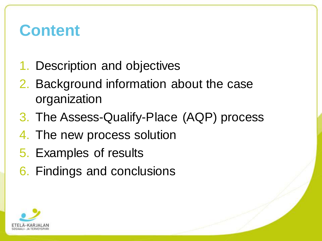### **Content**

- 1. Description and objectives
- 2. Background information about the case organization
- 3. The Assess-Qualify-Place (AQP) process
- 4. The new process solution
- 5. Examples of results
- 6. Findings and conclusions

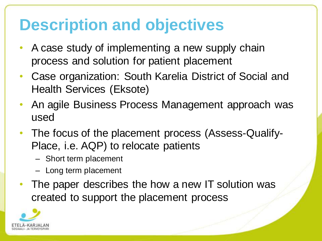# **Description and objectives**

- A case study of implementing a new supply chain process and solution for patient placement
- Case organization: South Karelia District of Social and Health Services (Eksote)
- An agile Business Process Management approach was used
- The focus of the placement process (Assess-Qualify-Place, i.e. AQP) to relocate patients
	- Short term placement
	- Long term placement
- The paper describes the how a new IT solution was created to support the placement process

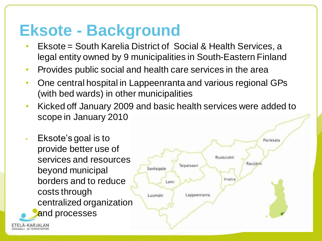#### **Eksote - Background**

- Eksote = South Karelia District of Social & Health Services, a legal entity owned by 9 municipalities in South-Eastern Finland
- Provides public social and health care services in the area
- One central hospital in Lappeenranta and various regional GPs (with bed wards) in other municipalities
- Kicked off January 2009 and basic health services were added to scope in January 2010

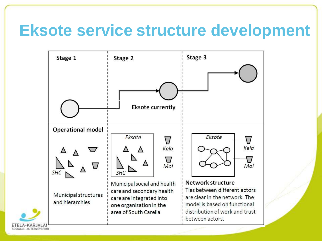#### **Eksote service structure development**

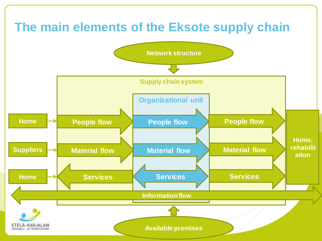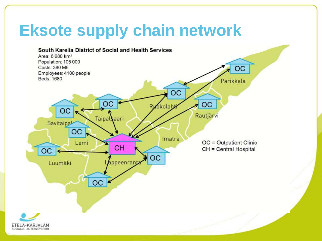# **Eksote supply chain network**

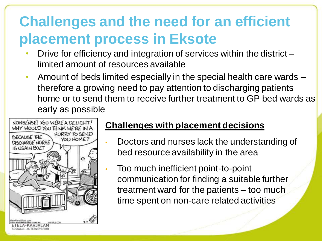#### **Challenges and the need for an efficient placement process in Eksote**

- Drive for efficiency and integration of services within the district limited amount of resources available
- Amount of beds limited especially in the special health care wards therefore a growing need to pay attention to discharging patients home or to send them to receive further treatment to GP bed wards as early as possible



#### **Challenges with placement decisions**

- Doctors and nurses lack the understanding of bed resource availability in the area
- Too much inefficient point-to-point communication for finding a suitable further treatment ward for the patients – too much time spent on non-care related activities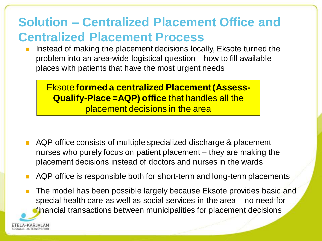#### **Solution – Centralized Placement Office and Centralized Placement Process**

 Instead of making the placement decisions locally, Eksote turned the problem into an area-wide logistical question – how to fill available places with patients that have the most urgent needs

Eksote **formed a centralized Placement (Assess-Qualify-Place =AQP) office** that handles all the placement decisions in the area

- AQP office consists of multiple specialized discharge & placement nurses who purely focus on patient placement – they are making the placement decisions instead of doctors and nurses in the wards
- AQP office is responsible both for short-term and long-term placements
- The model has been possible largely because Eksote provides basic and special health care as well as social services in the area – no need for financial transactions between municipalities for placement decisions

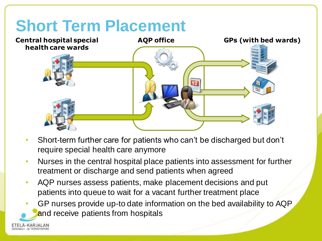# **Short Term Placement**



- Short-term further care for patients who can't be discharged but don't require special health care anymore
- Nurses in the central hospital place patients into assessment for further treatment or discharge and send patients when agreed
- AQP nurses assess patients, make placement decisions and put patients into queue to wait for a vacant further treatment place
- GP nurses provide up-to date information on the bed availability to AQP and receive patients from hospitals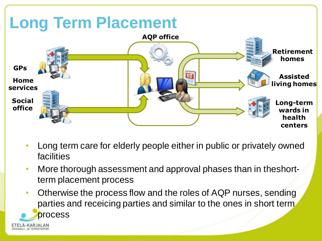

- Long term care for elderly people either in public or privately owned facilities
- More thorough assessment and approval phases than in theshortterm placement process
- Otherwise the process flow and the roles of AQP nurses, sending parties and receicing parties and similar to the ones in short term process

-KARJALAN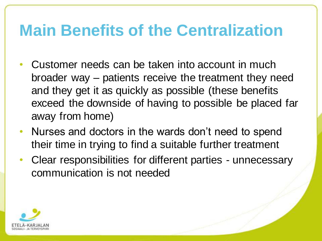### **Main Benefits of the Centralization**

- Customer needs can be taken into account in much broader way – patients receive the treatment they need and they get it as quickly as possible (these benefits exceed the downside of having to possible be placed far away from home)
- Nurses and doctors in the wards don't need to spend their time in trying to find a suitable further treatment
- Clear responsibilities for different parties unnecessary communication is not needed

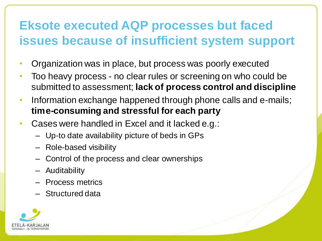#### **Eksote executed AQP processes but faced issues because of insufficient system support**

- Organization was in place, but process was poorly executed
- Too heavy process no clear rules or screening on who could be submitted to assessment; **lack of process control and discipline**
- Information exchange happened through phone calls and e-mails; **time-consuming and stressful for each party**
- Cases were handled in Excel and it lacked e.g.:
	- Up-to date availability picture of beds in GPs
	- Role-based visibility
	- Control of the process and clear ownerships
	- Auditability
	- Process metrics
	- Structured data

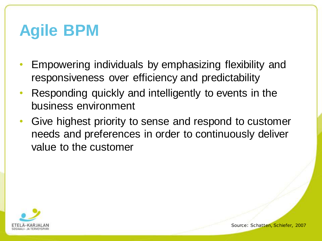# **Agile BPM**

- Empowering individuals by emphasizing flexibility and responsiveness over efficiency and predictability
- Responding quickly and intelligently to events in the business environment
- Give highest priority to sense and respond to customer needs and preferences in order to continuously deliver value to the customer

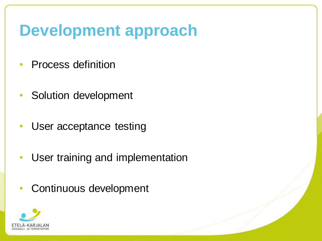## **Development approach**

- Process definition
- Solution development
- User acceptance testing
- User training and implementation
- Continuous development

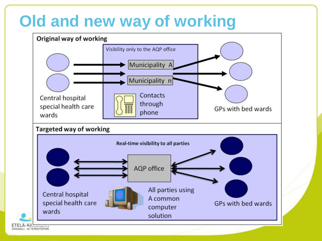# **Old and new way of working**

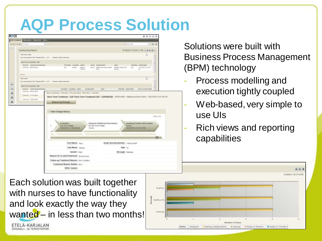#### **AQP Process Solution**

|                             | CALIFORNIA PROVIDED CORRECT MANAGE                      |                                                                                                                          |                                                              |                          |                             |                                                                   |                                        |                          |                                   |               |
|-----------------------------|---------------------------------------------------------|--------------------------------------------------------------------------------------------------------------------------|--------------------------------------------------------------|--------------------------|-----------------------------|-------------------------------------------------------------------|----------------------------------------|--------------------------|-----------------------------------|---------------|
| month into A.C. in lower.   |                                                         | ÷1                                                                                                                       |                                                              |                          |                             |                                                                   |                                        | <b>Bom Line</b>          |                                   | 计无业           |
|                             |                                                         |                                                                                                                          |                                                              |                          |                             |                                                                   |                                        |                          | BS0000110229.11 FM 4 A A A L      |               |
|                             | Siending Wakt Reynal:                                   |                                                                                                                          |                                                              |                          |                             |                                                                   |                                        |                          |                                   |               |
| <b>David active colorer</b> |                                                         | Revenue that Tele Treasure (2011) 477 Echelin, Papel Heavily (                                                           |                                                              |                          |                             |                                                                   |                                        |                          | z                                 |               |
|                             | Married Frances / Har                                   |                                                                                                                          |                                                              |                          |                             |                                                                   |                                        |                          |                                   |               |
|                             | leave dt. Solid bota to iturese<br>CONTINUE 000211-ACIA |                                                                                                                          | Frantwise Lastrowine Vietna<br>into.<br>lighter.             | <b>Dealer</b><br>Tiam he | - Element - Secretary World | (644) Technologi Ecologic Nation - POSSOS Ecologic Ide<br>Visit 1 | <b>TRAFF</b><br><b><i>Electron</i></b> | 148                      | Savenitet, Salvestaate<br>外收敛性处理脉 |               |
| <b>Service</b>              |                                                         |                                                                                                                          |                                                              |                          |                             |                                                                   |                                        |                          |                                   |               |
| <b>Tues cause</b>           |                                                         |                                                                                                                          |                                                              |                          |                             |                                                                   |                                        |                          | $\rightarrow$                     |               |
|                             |                                                         | fine alooks that fore Treben (12/1) 3 (13) Contract Prand (Reservation                                                   |                                                              |                          |                             |                                                                   |                                        |                          |                                   |               |
|                             | <b>Short Toyot Traumween (Start</b>                     |                                                                                                                          |                                                              |                          |                             |                                                                   |                                        |                          |                                   |               |
|                             | review W. Social Ascor Ny Humber                        |                                                                                                                          | <b>FEICHING LASTRING STREET</b>                              |                          | <b>Belming Ward</b>         | <b>Veset</b>                                                      |                                        | Summitter Sylvical clots | Televide Company Board            |               |
|                             | EUPIDIEC 00020-RDA                                      |                                                                                                                          | Black Is Reautis   First Bent Freness Bent Hast Bent Law Fem |                          |                             |                                                                   |                                        |                          |                                   |               |
|                             | DOMESTIC TELEVISIONS                                    |                                                                                                                          |                                                              |                          |                             |                                                                   |                                        |                          |                                   |               |
|                             |                                                         |                                                                                                                          |                                                              |                          |                             |                                                                   |                                        |                          |                                   |               |
|                             |                                                         | Short Term Treatment - EQP Short Term Treatment EQP - EQP000268: 1400x-947 - Textourne Burns Have - 10010319 12:01 36 AB |                                                              |                          |                             |                                                                   |                                        |                          |                                   |               |
|                             | <b>LUTHELM FIRED HOME</b>                               |                                                                                                                          |                                                              |                          |                             |                                                                   |                                        |                          |                                   |               |
|                             |                                                         |                                                                                                                          | <b>Germany State Province</b>                                |                          |                             |                                                                   |                                        |                          |                                   |               |
|                             |                                                         |                                                                                                                          |                                                              |                          |                             |                                                                   |                                        |                          |                                   |               |
|                             |                                                         |                                                                                                                          |                                                              |                          |                             |                                                                   |                                        |                          |                                   |               |
|                             |                                                         |                                                                                                                          |                                                              |                          |                             |                                                                   |                                        |                          |                                   |               |
|                             |                                                         |                                                                                                                          | 1 Blate Change History                                       |                          |                             |                                                                   |                                        |                          |                                   |               |
|                             |                                                         |                                                                                                                          |                                                              |                          |                             |                                                                   |                                        |                          |                                   | Dispar Ad     |
|                             |                                                         |                                                                                                                          |                                                              |                          |                             |                                                                   |                                        |                          |                                   |               |
|                             |                                                         |                                                                                                                          |                                                              |                          |                             |                                                                   |                                        |                          |                                   |               |
|                             |                                                         |                                                                                                                          | <b>Realestion</b>                                            |                          |                             | Request Artisticoal Information                                   |                                        |                          | Awaiting Further Information      |               |
|                             |                                                         | ٠                                                                                                                        | San SAG haben.                                               |                          | By San SAS-hobia            |                                                                   |                                        | Donne L                  |                                   |               |
|                             |                                                         |                                                                                                                          | <b>TAXABLE IN THE 20 AM</b>                                  |                          | <b>Service</b>              |                                                                   |                                        |                          | ALCOHOL: \$1,000 KD PM            |               |
|                             |                                                         |                                                                                                                          |                                                              |                          |                             |                                                                   |                                        |                          |                                   |               |
|                             |                                                         |                                                                                                                          |                                                              |                          |                             |                                                                   |                                        |                          |                                   |               |
|                             |                                                         | $-1.45 - 1.4$                                                                                                            |                                                              |                          |                             |                                                                   |                                        |                          |                                   | <b>GTR 41</b> |
|                             |                                                         |                                                                                                                          |                                                              |                          |                             |                                                                   |                                        |                          |                                   |               |
|                             |                                                         |                                                                                                                          | First Neteri Card                                            |                          |                             |                                                                   | Social Security Nambers' supplicants   |                          |                                   |               |
|                             |                                                         |                                                                                                                          | Lest Server: Others                                          |                          |                             |                                                                   |                                        | Apr: 75                  |                                   |               |
|                             |                                                         |                                                                                                                          | Gender: Sive                                                 |                          |                             |                                                                   |                                        | <b>Borough: Hastnon</b>  |                                   |               |
|                             |                                                         |                                                                                                                          | Reason for in word brothnest: Surrecrease                    |                          |                             |                                                                   |                                        |                          |                                   |               |
|                             |                                                         |                                                                                                                          | Folkne up Treatment Reason: Sin Coutino.                     |                          |                             |                                                                   |                                        |                          |                                   |               |
|                             |                                                         |                                                                                                                          | Treatment Resson Details: Jun-                               |                          |                             |                                                                   |                                        |                          |                                   |               |
|                             |                                                         |                                                                                                                          | <b>Differ maker:</b>                                         |                          |                             |                                                                   |                                        |                          |                                   |               |

Solutions were built with Business Process Management (BPM) technology

- Process modelling and execution tightly coupled
- Web-based, very simple to use UIs
- Rich views and reporting capabilities

**第36頁** 

Each solution was built together with nurses to have functionality and look exactly the way they wanted – in less than two months! ETELA-KARJALAN SOSIAALI- JA TERVEYSPIIRI

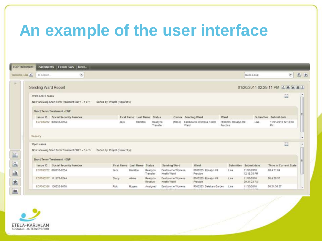# **An example of the user interface**

| <b>EQP Treatment</b> |                     | Placements Eksote SAS<br>More                   |                                |             |                             |                      |                                                |                                   |                                   |                                             |                                         |                          |
|----------------------|---------------------|-------------------------------------------------|--------------------------------|-------------|-----------------------------|----------------------|------------------------------------------------|-----------------------------------|-----------------------------------|---------------------------------------------|-----------------------------------------|--------------------------|
| Welcome, Lisa        | ID Search           | ۷                                               |                                |             |                             |                      |                                                |                                   |                                   | Quick Links:                                | $\left( \mathbf{r}\right)$              | 五击                       |
| 77                   | Sending Ward Report |                                                 |                                |             |                             |                      |                                                |                                   |                                   |                                             | 01/20/2011 02:29:11 PM <u>2 8 9 8 2</u> |                          |
|                      | Ward active cases   | Now showing Short Term Treatment EQP 1 - 1 of 1 | Sorted by: Project (Hierarchy) |             |                             |                      |                                                |                                   |                                   |                                             | 図                                       |                          |
|                      |                     | Short Term Treatment - EQP                      |                                |             |                             |                      |                                                |                                   |                                   |                                             |                                         |                          |
|                      |                     | Issue ID Social Security Number                 |                                |             | First Name Last Name Status |                      |                                                | Owner Sending Ward                | Ward                              |                                             | Submitter Submit date                   |                          |
|                      |                     | EGP000282 090233-923A                           |                                | <b>Jack</b> | Hamilton                    | Ready to<br>Transfer | (None)                                         | Eastbourne Womens Health<br>Ward  | P000265: Rosslyn Hill<br>Practice | Lisa                                        | 11/01/2010 12:18:38<br>PM               |                          |
|                      | Requery             |                                                 |                                |             |                             |                      |                                                |                                   |                                   |                                             |                                         |                          |
|                      | Open cases          | Now showing Short Term Treatment EQP 1 - 3 of 3 | Sorted by: Project (Hierarchy) |             |                             |                      |                                                |                                   |                                   |                                             | 篮                                       |                          |
| $\mathbb{E}$         |                     | Short Term Treatment - EQP                      |                                |             |                             |                      |                                                |                                   |                                   |                                             |                                         |                          |
| $\overline{a}$       |                     | Issue ID Social Security Number                 |                                |             | First Name Last Name Status |                      | Sending Ward                                   | Ward                              |                                   | Submitter: Submit date                      | <b>Time in Current State</b>            |                          |
| <u>dı</u>            |                     | EQP000282 090233-923A                           | Jack:                          |             | Hamilton                    | Ready to<br>Transfer | Eastbourne Womens<br>Health Ward               | P000265: Rosslyn Hill<br>Practice | Lisa                              | 11/01/2010<br>12:18:38 PM                   | 784:51:04                               |                          |
| x                    |                     | EQP000287 111170-924A                           | Stacy                          | Atkins      |                             | Ready to<br>Receive  | Eastbourne Womens<br>Health Ward               | P000265: Rosslyn Hill<br>Practice | Lisa:                             | 11/02/2010<br>09:31:23 AM                   | 76 4:38:55                              |                          |
|                      |                     | EQP000328 130232-9000                           | <b>Rick</b>                    |             | Rogers                      | Assigned             | Eastbourne Womens<br><b>Manufer Address Rd</b> | P000263: Daleham Garden<br>1815.8 | Lisa                              | 11/30/2010<br><b><i>B.A.P.M. LELMIA</i></b> | 50 21:36:57                             | $\overline{\phantom{a}}$ |
| ≞                    | க                   |                                                 |                                |             |                             |                      |                                                |                                   |                                   |                                             |                                         |                          |

-KARJALAN SOSIAALL- JA TERVEYSPIIR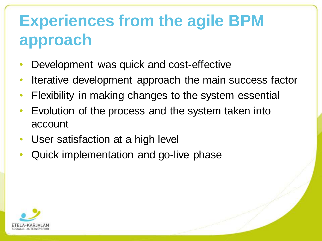# **Experiences from the agile BPM approach**

- Development was quick and cost-effective
- Iterative development approach the main success factor
- Flexibility in making changes to the system essential
- Evolution of the process and the system taken into account
- User satisfaction at a high level
- Quick implementation and go-live phase

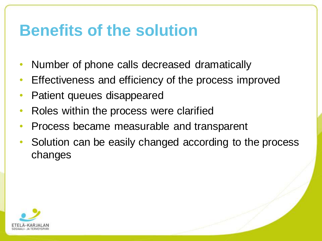#### **Benefits of the solution**

- Number of phone calls decreased dramatically
- Effectiveness and efficiency of the process improved
- Patient queues disappeared
- Roles within the process were clarified
- Process became measurable and transparent
- Solution can be easily changed according to the process changes

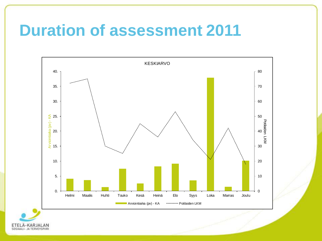#### **Duration of assessment 2011**



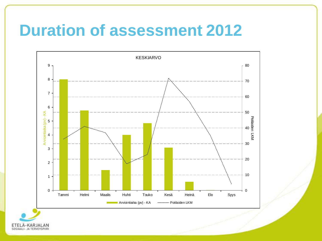#### **Duration of assessment 2012**



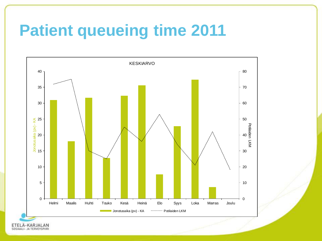# **Patient queueing time 2011**



ETELÄ-KARJALAN SOSIAALI- JA TERVEYSPIIRI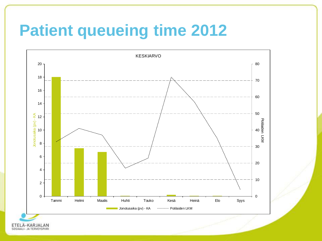# **Patient queueing time 2012**

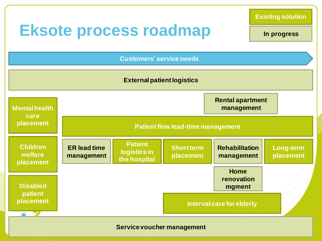

**Existing solution**

**In progress**

**Short term placement Long-term placement Rehabilitation management Patient flow lead-time management Patient logistics in the hospital Mental health care placement Children welfare placement Disabled patient placement ER lead time management Home renovation mgment Customers´ service needs Rental apartment management Interval care for elderly External patient logistics**

**Service voucher management**